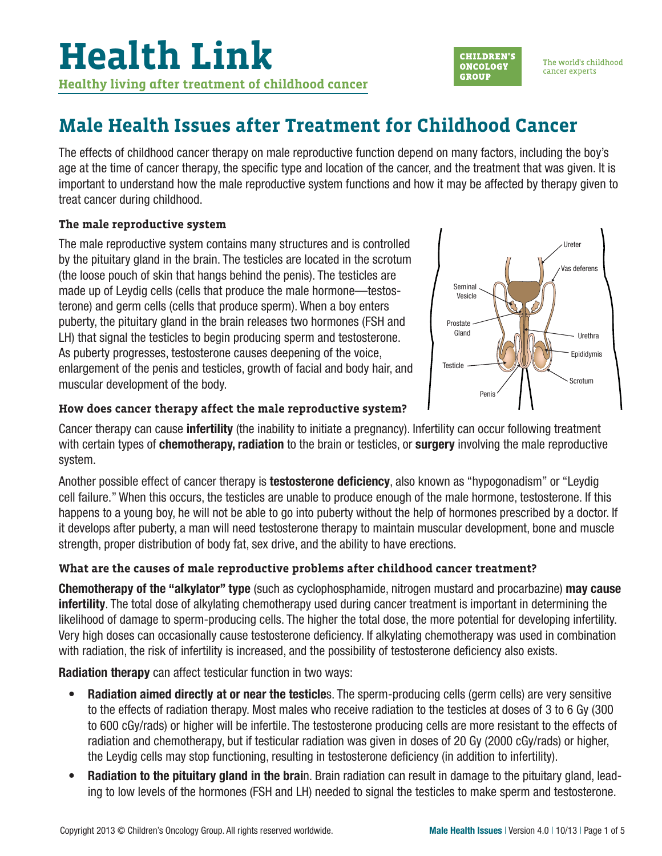

The effects of childhood cancer therapy on male reproductive function depend on many factors, including the boy's age at the time of cancer therapy, the specific type and location of the cancer, and the treatment that was given. It is important to understand how the male reproductive system functions and how it may be affected by therapy given to treat cancer during childhood.

## **The male reproductive system**

The male reproductive system contains many structures and is controlled by the pituitary gland in the brain. The testicles are located in the scrotum (the loose pouch of skin that hangs behind the penis). The testicles are made up of Leydig cells (cells that produce the male hormone—testosterone) and germ cells (cells that produce sperm). When a boy enters puberty, the pituitary gland in the brain releases two hormones (FSH and LH) that signal the testicles to begin producing sperm and testosterone. As puberty progresses, testosterone causes deepening of the voice, enlargement of the penis and testicles, growth of facial and body hair, and muscular development of the body.



**CHILDREN'S** 

**ONCOLOGY** 

**GROUP** 

The world's childhood

cancer experts

#### **How does cancer therapy affect the male reproductive system?**

Cancer therapy can cause **infertility** (the inability to initiate a pregnancy). Infertility can occur following treatment with certain types of **chemotherapy, radiation** to the brain or testicles, or **surgery** involving the male reproductive system.

Another possible effect of cancer therapy is **testosterone deficiency**, also known as "hypogonadism" or "Leydig cell failure." When this occurs, the testicles are unable to produce enough of the male hormone, testosterone. If this happens to a young boy, he will not be able to go into puberty without the help of hormones prescribed by a doctor. If it develops after puberty, a man will need testosterone therapy to maintain muscular development, bone and muscle strength, proper distribution of body fat, sex drive, and the ability to have erections.

## **What are the causes of male reproductive problems after childhood cancer treatment?**

**Chemotherapy of the "alkylator" type** (such as cyclophosphamide, nitrogen mustard and procarbazine) **may cause infertility**. The total dose of alkylating chemotherapy used during cancer treatment is important in determining the likelihood of damage to sperm-producing cells. The higher the total dose, the more potential for developing infertility. Very high doses can occasionally cause testosterone deficiency. If alkylating chemotherapy was used in combination with radiation, the risk of infertility is increased, and the possibility of testosterone deficiency also exists.

**Radiation therapy** can affect testicular function in two ways:

- **Radiation aimed directly at or near the testicle**s. The sperm-producing cells (germ cells) are very sensitive to the effects of radiation therapy. Most males who receive radiation to the testicles at doses of 3 to 6 Gy (300 to 600 cGy/rads) or higher will be infertile. The testosterone producing cells are more resistant to the effects of radiation and chemotherapy, but if testicular radiation was given in doses of 20 Gy (2000 cGy/rads) or higher, the Leydig cells may stop functioning, resulting in testosterone deficiency (in addition to infertility).
- **Radiation to the pituitary gland in the brai**n. Brain radiation can result in damage to the pituitary gland, leading to low levels of the hormones (FSH and LH) needed to signal the testicles to make sperm and testosterone.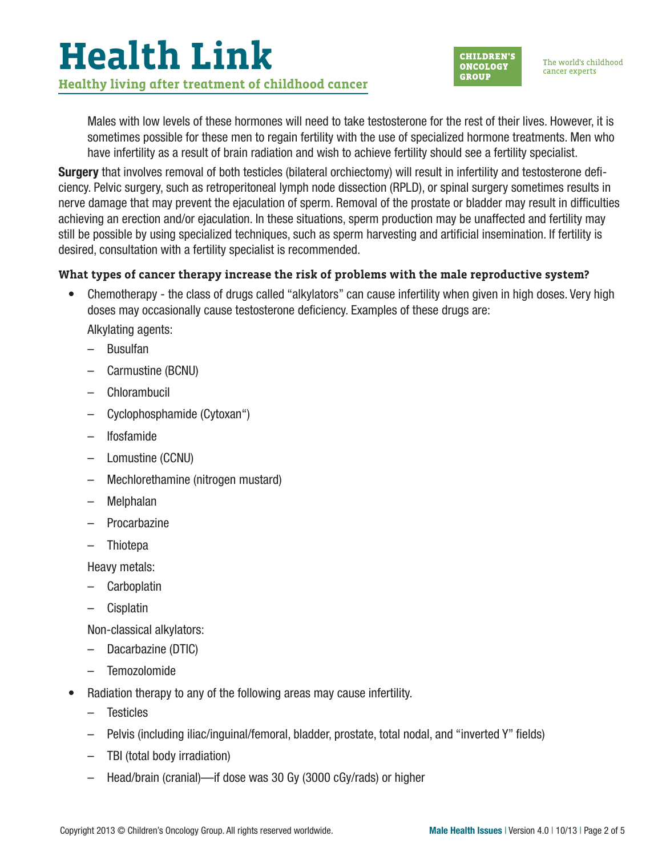# **Health Link Healthy living after treatment of childhood cancer**



Males with low levels of these hormones will need to take testosterone for the rest of their lives. However, it is sometimes possible for these men to regain fertility with the use of specialized hormone treatments. Men who have infertility as a result of brain radiation and wish to achieve fertility should see a fertility specialist.

Surgery that involves removal of both testicles (bilateral orchiectomy) will result in infertility and testosterone deficiency. Pelvic surgery, such as retroperitoneal lymph node dissection (RPLD), or spinal surgery sometimes results in nerve damage that may prevent the ejaculation of sperm. Removal of the prostate or bladder may result in difficulties achieving an erection and/or ejaculation. In these situations, sperm production may be unaffected and fertility may still be possible by using specialized techniques, such as sperm harvesting and artificial insemination. If fertility is desired, consultation with a fertility specialist is recommended.

## **What types of cancer therapy increase the risk of problems with the male reproductive system?**

• Chemotherapy - the class of drugs called "alkylators" can cause infertility when given in high doses. Very high doses may occasionally cause testosterone deficiency. Examples of these drugs are:

Alkylating agents:

- Busulfan
- Carmustine (BCNU)
- Chlorambucil
- Cyclophosphamide (Cytoxan")
- Ifosfamide
- Lomustine (CCNU)
- Mechlorethamine (nitrogen mustard)
- Melphalan
- **Procarbazine**
- Thiotepa

Heavy metals:

- **Carboplatin**
- Cisplatin

Non-classical alkylators:

- Dacarbazine (DTIC)
- Temozolomide
- Radiation therapy to any of the following areas may cause infertility.
	- Testicles
	- Pelvis (including iliac/inguinal/femoral, bladder, prostate, total nodal, and "inverted Y" fields)
	- TBI (total body irradiation)
	- Head/brain (cranial)—if dose was 30 Gy (3000 cGy/rads) or higher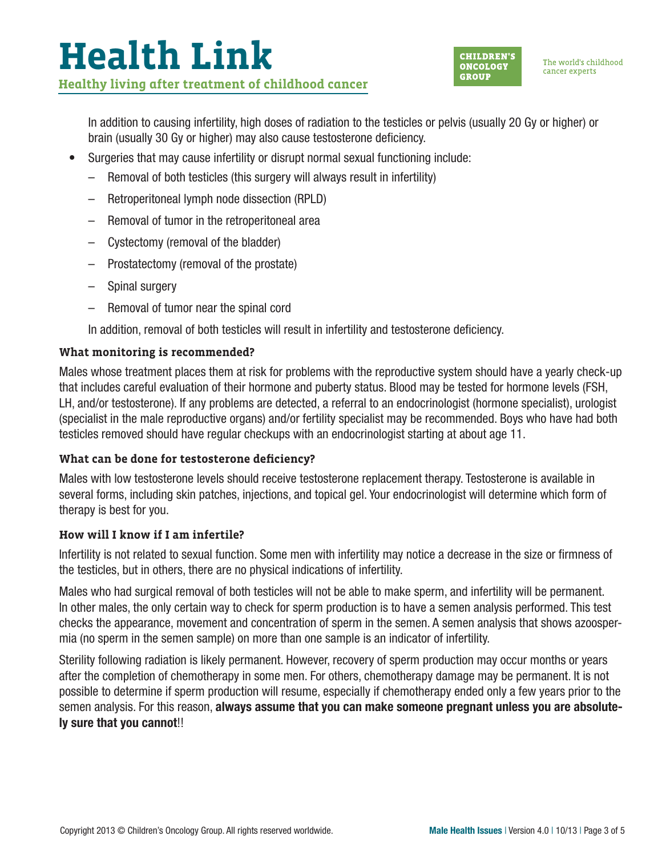# **Health Link Healthy living after treatment of childhood cancer**



The world's childhood cancer experts

In addition to causing infertility, high doses of radiation to the testicles or pelvis (usually 20 Gy or higher) or brain (usually 30 Gy or higher) may also cause testosterone deficiency.

- Surgeries that may cause infertility or disrupt normal sexual functioning include:
	- Removal of both testicles (this surgery will always result in infertility)
	- Retroperitoneal lymph node dissection (RPLD)
	- Removal of tumor in the retroperitoneal area
	- Cystectomy (removal of the bladder)
	- Prostatectomy (removal of the prostate)
	- Spinal surgery
	- Removal of tumor near the spinal cord

In addition, removal of both testicles will result in infertility and testosterone deficiency.

## **What monitoring is recommended?**

Males whose treatment places them at risk for problems with the reproductive system should have a yearly check-up that includes careful evaluation of their hormone and puberty status. Blood may be tested for hormone levels (FSH, LH, and/or testosterone). If any problems are detected, a referral to an endocrinologist (hormone specialist), urologist (specialist in the male reproductive organs) and/or fertility specialist may be recommended. Boys who have had both testicles removed should have regular checkups with an endocrinologist starting at about age 11.

## **What can be done for testosterone deficiency?**

Males with low testosterone levels should receive testosterone replacement therapy. Testosterone is available in several forms, including skin patches, injections, and topical gel. Your endocrinologist will determine which form of therapy is best for you.

## **How will I know if I am infertile?**

Infertility is not related to sexual function. Some men with infertility may notice a decrease in the size or firmness of the testicles, but in others, there are no physical indications of infertility.

Males who had surgical removal of both testicles will not be able to make sperm, and infertility will be permanent. In other males, the only certain way to check for sperm production is to have a semen analysis performed. This test checks the appearance, movement and concentration of sperm in the semen. A semen analysis that shows azoospermia (no sperm in the semen sample) on more than one sample is an indicator of infertility.

Sterility following radiation is likely permanent. However, recovery of sperm production may occur months or years after the completion of chemotherapy in some men. For others, chemotherapy damage may be permanent. It is not possible to determine if sperm production will resume, especially if chemotherapy ended only a few years prior to the semen analysis. For this reason, **always assume that you can make someone pregnant unless you are absolutely sure that you cannot**!!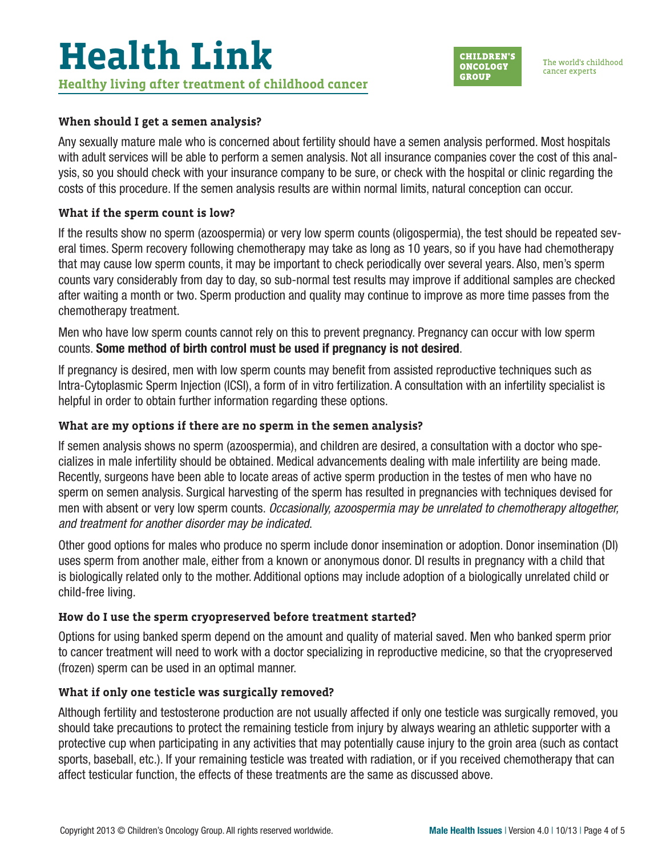## **When should I get a semen analysis?**

Any sexually mature male who is concerned about fertility should have a semen analysis performed. Most hospitals with adult services will be able to perform a semen analysis. Not all insurance companies cover the cost of this analysis, so you should check with your insurance company to be sure, or check with the hospital or clinic regarding the costs of this procedure. If the semen analysis results are within normal limits, natural conception can occur.

## **What if the sperm count is low?**

If the results show no sperm (azoospermia) or very low sperm counts (oligospermia), the test should be repeated several times. Sperm recovery following chemotherapy may take as long as 10 years, so if you have had chemotherapy that may cause low sperm counts, it may be important to check periodically over several years. Also, men's sperm counts vary considerably from day to day, so sub-normal test results may improve if additional samples are checked after waiting a month or two. Sperm production and quality may continue to improve as more time passes from the chemotherapy treatment.

Men who have low sperm counts cannot rely on this to prevent pregnancy. Pregnancy can occur with low sperm counts. **Some method of birth control must be used if pregnancy is not desired**.

If pregnancy is desired, men with low sperm counts may benefit from assisted reproductive techniques such as Intra-Cytoplasmic Sperm Injection (ICSI), a form of in vitro fertilization. A consultation with an infertility specialist is helpful in order to obtain further information regarding these options.

#### **What are my options if there are no sperm in the semen analysis?**

If semen analysis shows no sperm (azoospermia), and children are desired, a consultation with a doctor who specializes in male infertility should be obtained. Medical advancements dealing with male infertility are being made. Recently, surgeons have been able to locate areas of active sperm production in the testes of men who have no sperm on semen analysis. Surgical harvesting of the sperm has resulted in pregnancies with techniques devised for men with absent or very low sperm counts. Occasionally, azoospermia may be unrelated to chemotherapy altogether, and treatment for another disorder may be indicated.

Other good options for males who produce no sperm include donor insemination or adoption. Donor insemination (DI) uses sperm from another male, either from a known or anonymous donor. DI results in pregnancy with a child that is biologically related only to the mother. Additional options may include adoption of a biologically unrelated child or child-free living.

#### **How do I use the sperm cryopreserved before treatment started?**

Options for using banked sperm depend on the amount and quality of material saved. Men who banked sperm prior to cancer treatment will need to work with a doctor specializing in reproductive medicine, so that the cryopreserved (frozen) sperm can be used in an optimal manner.

#### **What if only one testicle was surgically removed?**

Although fertility and testosterone production are not usually affected if only one testicle was surgically removed, you should take precautions to protect the remaining testicle from injury by always wearing an athletic supporter with a protective cup when participating in any activities that may potentially cause injury to the groin area (such as contact sports, baseball, etc.). If your remaining testicle was treated with radiation, or if you received chemotherapy that can affect testicular function, the effects of these treatments are the same as discussed above.